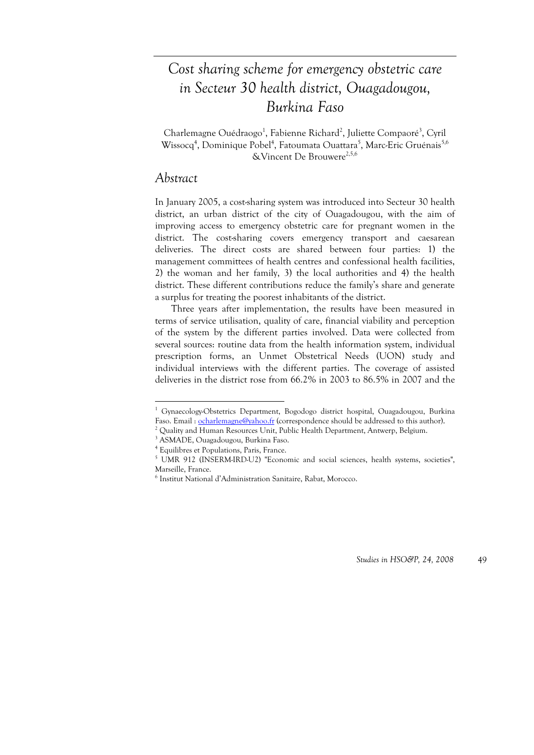# *Cost sharing scheme for emergency obstetric care in Secteur 30 health district, Ouagadougou, Burkina Faso*

Charlemagne Ouédraogo<sup>1</sup>, Fabienne Richard<sup>2</sup>, Juliette Compaoré<sup>3</sup>, Cyril Wissocq<sup>4</sup>, Dominique Pobel<sup>4</sup>, Fatoumata Ouattara<sup>5</sup>, Marc-Eric Gruénais<sup>5,6</sup> &Vincent De Brouwere<sup>2,5,6</sup>

# *Abstract*

1

In January 2005, a cost-sharing system was introduced into Secteur 30 health district, an urban district of the city of Ouagadougou, with the aim of improving access to emergency obstetric care for pregnant women in the district. The cost-sharing covers emergency transport and caesarean deliveries. The direct costs are shared between four parties: 1) the management committees of health centres and confessional health facilities, 2) the woman and her family, 3) the local authorities and 4) the health district. These different contributions reduce the family's share and generate a surplus for treating the poorest inhabitants of the district.

Three years after implementation, the results have been measured in terms of service utilisation, quality of care, financial viability and perception of the system by the different parties involved. Data were collected from several sources: routine data from the health information system, individual prescription forms, an Unmet Obstetrical Needs (UON) study and individual interviews with the different parties. The coverage of assisted deliveries in the district rose from 66.2% in 2003 to 86.5% in 2007 and the

<sup>&</sup>lt;sup>1</sup> Gynaecology-Obstetrics Department, Bogodogo district hospital, Ouagadougou, Burkina Faso. Email : ocharlemagne@yahoo.fr (correspondence should be addressed to this author).

<sup>&</sup>lt;sup>2</sup> Quality and Human Resources Unit, Public Health Department, Antwerp, Belgium.<br><sup>3</sup> ASMADE, Quaradougou, Burking Feso.

ASMADE, Ouagadougou, Burkina Faso.

<sup>4</sup> Equilibres et Populations, Paris, France.

<sup>&</sup>lt;sup>5</sup> UMR 912 (INSERM-IRD-U2) "Economic and social sciences, health systems, societies", Marseille, France.

<sup>6</sup> Institut National d'Administration Sanitaire, Rabat, Morocco.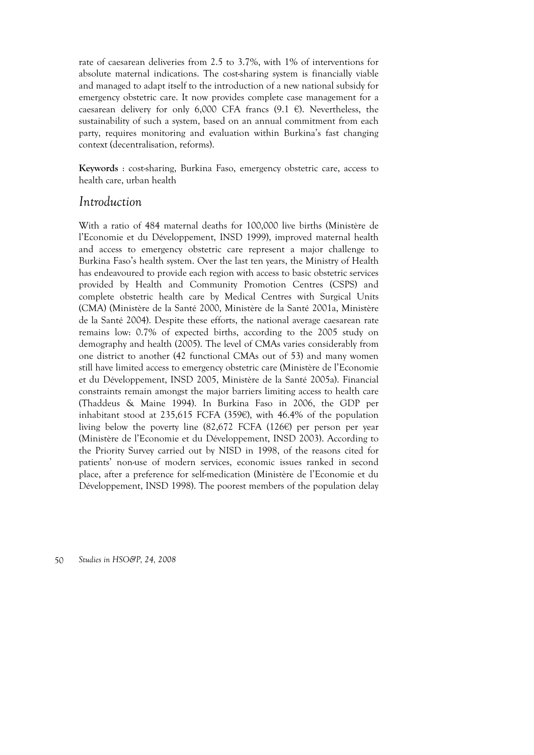rate of caesarean deliveries from 2.5 to 3.7%, with 1% of interventions for absolute maternal indications. The cost-sharing system is financially viable and managed to adapt itself to the introduction of a new national subsidy for emergency obstetric care. It now provides complete case management for a caesarean delivery for only 6,000 CFA francs  $(9.1 \epsilon)$ . Nevertheless, the sustainability of such a system, based on an annual commitment from each party, requires monitoring and evaluation within Burkina's fast changing context (decentralisation, reforms).

**Keywords** : cost-sharing, Burkina Faso, emergency obstetric care, access to health care, urban health

# *Introduction*

With a ratio of 484 maternal deaths for 100,000 live births (Ministère de l'Economie et du Développement, INSD 1999), improved maternal health and access to emergency obstetric care represent a major challenge to Burkina Faso's health system. Over the last ten years, the Ministry of Health has endeavoured to provide each region with access to basic obstetric services provided by Health and Community Promotion Centres (CSPS) and complete obstetric health care by Medical Centres with Surgical Units (CMA) (Ministère de la Santé 2000, Ministère de la Santé 2001a, Ministère de la Santé 2004). Despite these efforts, the national average caesarean rate remains low: 0.7% of expected births, according to the 2005 study on demography and health (2005). The level of CMAs varies considerably from one district to another (42 functional CMAs out of 53) and many women still have limited access to emergency obstetric care (Ministère de l'Economie et du Développement, INSD 2005, Ministère de la Santé 2005a). Financial constraints remain amongst the major barriers limiting access to health care (Thaddeus & Maine 1994). In Burkina Faso in 2006, the GDP per inhabitant stood at 235,615 FCFA (359€), with 46.4% of the population living below the poverty line (82,672 FCFA (126€) per person per year (Ministère de l'Economie et du Développement, INSD 2003). According to the Priority Survey carried out by NISD in 1998, of the reasons cited for patients' non-use of modern services, economic issues ranked in second place, after a preference for self-medication (Ministère de l'Economie et du Développement, INSD 1998). The poorest members of the population delay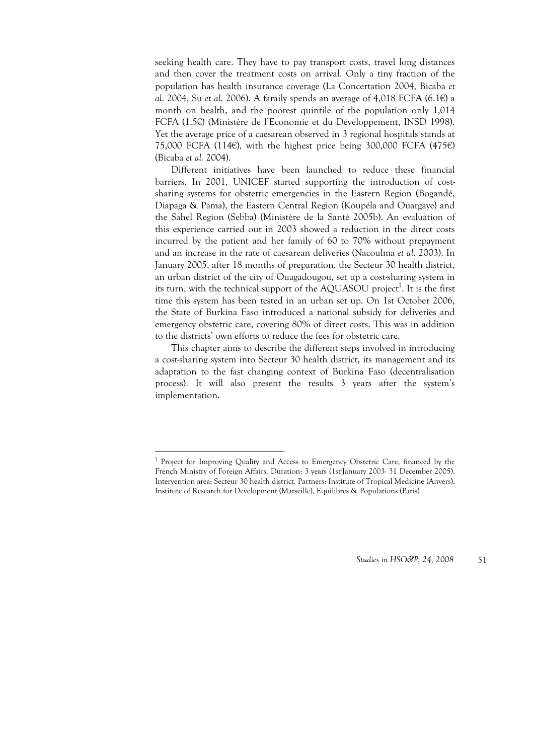seeking health care. They have to pay transport costs, travel long distances and then cover the treatment costs on arrival. Only a tiny fraction of the population has health insurance coverage (La Concertation 2004, Bicaba *et al*. 2004, Su *et al*. 2006). A family spends an average of 4,018 FCFA (6.1€) a month on health, and the poorest quintile of the population only 1,014 FCFA (1.5€) (Ministère de l'Economie et du Développement, INSD 1998). Yet the average price of a caesarean observed in 3 regional hospitals stands at 75,000 FCFA (114€), with the highest price being 300,000 FCFA (475€) (Bicaba *et al.* 2004).

Different initiatives have been launched to reduce these financial barriers. In 2001, UNICEF started supporting the introduction of costsharing systems for obstetric emergencies in the Eastern Region (Bogandé, Diapaga & Pama), the Eastern Central Region (Koupéla and Ouargaye) and the Sahel Region (Sebba) (Ministère de la Santé 2005b). An evaluation of this experience carried out in 2003 showed a reduction in the direct costs incurred by the patient and her family of 60 to 70% without prepayment and an increase in the rate of caesarean deliveries (Nacoulma *et al*. 2003). In January 2005, after 18 months of preparation, the Secteur 30 health district, an urban district of the city of Ouagadougou, set up a cost-sharing system in its turn, with the technical support of the AQUASOU project<sup>7</sup>. It is the first time this system has been tested in an urban set up. On 1st October 2006, the State of Burkina Faso introduced a national subsidy for deliveries and emergency obstetric care, covering 80% of direct costs. This was in addition to the districts' own efforts to reduce the fees for obstetric care.

This chapter aims to describe the different steps involved in introducing a cost-sharing system into Secteur 30 health district, its management and its adaptation to the fast changing context of Burkina Faso (decentralisation process). It will also present the results 3 years after the system's implementation.

<u>.</u>

<sup>&</sup>lt;sup>7</sup> Project for Improving Quality and Access to Emergency Obstetric Care, financed by the French Ministry of Foreign Affairs. Duration: 3 years (1st<sup>r</sup>January 2003- 31 December 2005). Intervention area: Secteur 30 health district. Partners: Institute of Tropical Medicine (Anvers), Institute of Research for Development (Marseille), Equilibres & Populations (Paris)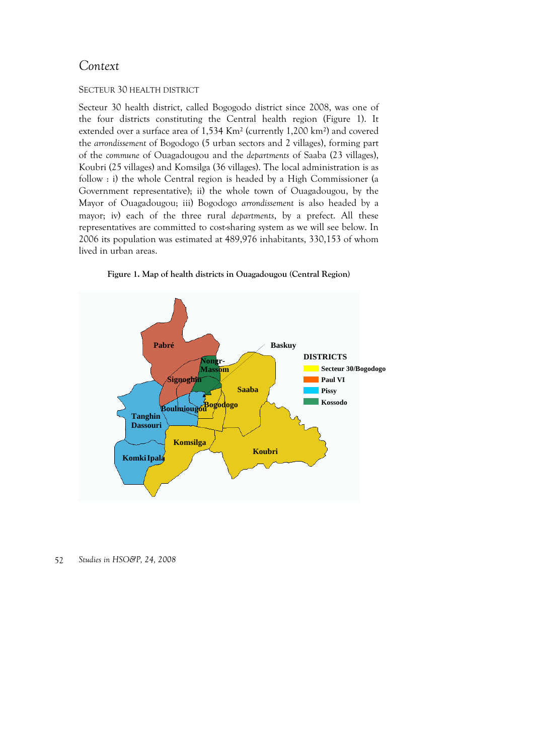# *Context*

### SECTEUR 30 HEALTH DISTRICT

Secteur 30 health district, called Bogogodo district since 2008, was one of the four districts constituting the Central health region (Figure 1). It extended over a surface area of 1,534 Km² (currently 1,200 km²) and covered the *arrondissement* of Bogodogo (5 urban sectors and 2 villages), forming part of the *commune* of Ouagadougou and the *departments* of Saaba (23 villages), Koubri (25 villages) and Komsilga (36 villages). The local administration is as follow : i) the whole Central region is headed by a High Commissioner (a Government representative); ii) the whole town of Ouagadougou, by the Mayor of Ouagadougou; iii) Bogodogo *arrondissement* is also headed by a mayor; iv) each of the three rural *departments*, by a prefect. All these representatives are committed to cost-sharing system as we will see below. In 2006 its population was estimated at 489,976 inhabitants, 330,153 of whom lived in urban areas.



**Figure 1. Map of health districts in Ouagadougou (Central Region)**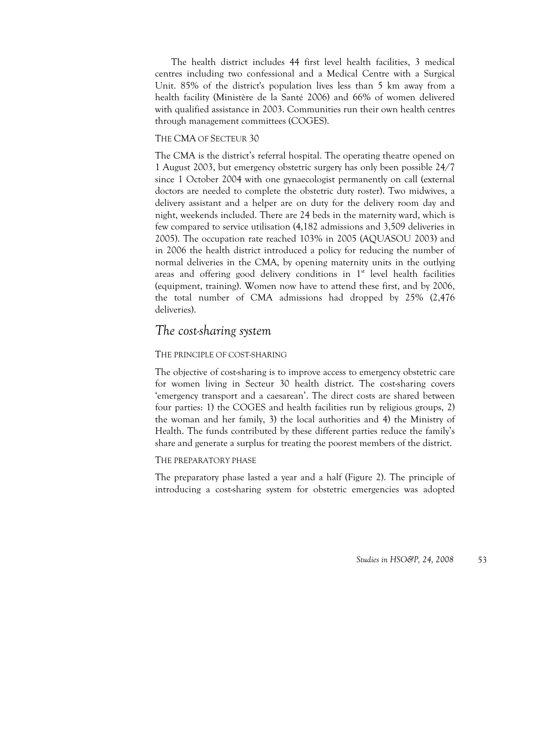The health district includes 44 first level health facilities, 3 medical centres including two confessional and a Medical Centre with a Surgical Unit. 85% of the district's population lives less than 5 km away from a health facility (Ministère de la Santé 2006) and 66% of women delivered with qualified assistance in 2003. Communities run their own health centres through management committees (COGES).

#### THE CMA OF SECTEUR 30

The CMA is the district's referral hospital. The operating theatre opened on 1 August 2003, but emergency obstetric surgery has only been possible 24/7 since 1 October 2004 with one gynaecologist permanently on call (external doctors are needed to complete the obstetric duty roster). Two midwives, a delivery assistant and a helper are on duty for the delivery room day and night, weekends included. There are 24 beds in the maternity ward, which is few compared to service utilisation (4,182 admissions and 3,509 deliveries in 2005). The occupation rate reached 103% in 2005 (AQUASOU 2003) and in 2006 the health district introduced a policy for reducing the number of normal deliveries in the CMA, by opening maternity units in the outlying areas and offering good delivery conditions in  $1<sup>st</sup>$  level health facilities (equipment, training). Women now have to attend these first, and by 2006, the total number of CMA admissions had dropped by 25% (2,476 deliveries).

# *The cost-sharing system*

### THE PRINCIPLE OF COST-SHARING

The objective of cost-sharing is to improve access to emergency obstetric care for women living in Secteur 30 health district. The cost-sharing covers 'emergency transport and a caesarean'. The direct costs are shared between four parties: 1) the COGES and health facilities run by religious groups, 2) the woman and her family, 3) the local authorities and 4) the Ministry of Health. The funds contributed by these different parties reduce the family's share and generate a surplus for treating the poorest members of the district.

### THE PREPARATORY PHASE

The preparatory phase lasted a year and a half (Figure 2). The principle of introducing a cost-sharing system for obstetric emergencies was adopted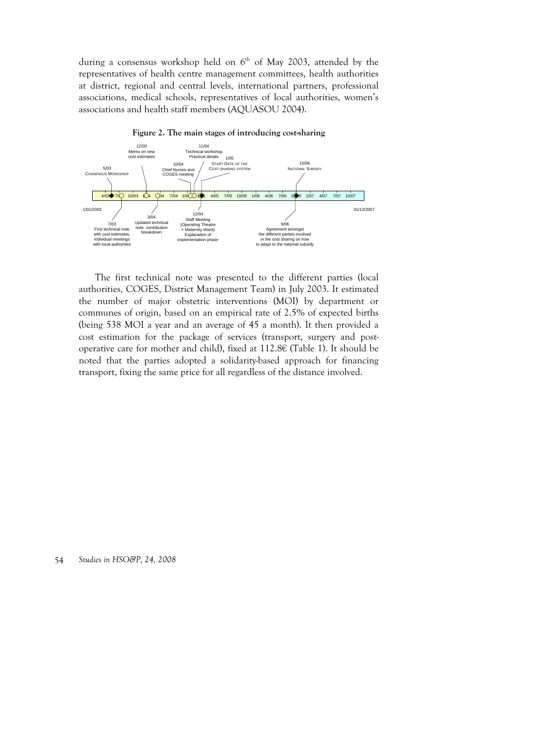during a consensus workshop held on  $6<sup>th</sup>$  of May 2003, attended by the representatives of health centre management committees, health authorities at district, regional and central levels, international partners, professional associations, medical schools, representatives of local authorities, women's associations and health staff members (AQUASOU 2004).



**Figure 2. The main stages of introducing cost-sharing** 

The first technical note was presented to the different parties (local authorities, COGES, District Management Team) in July 2003. It estimated the number of major obstetric interventions (MOI) by department or communes of origin, based on an empirical rate of 2.5% of expected births (being 538 MOI a year and an average of 45 a month). It then provided a cost estimation for the package of services (transport, surgery and postoperative care for mother and child), fixed at 112.8€ (Table 1). It should be noted that the parties adopted a solidarity-based approach for financing transport, fixing the same price for all regardless of the distance involved.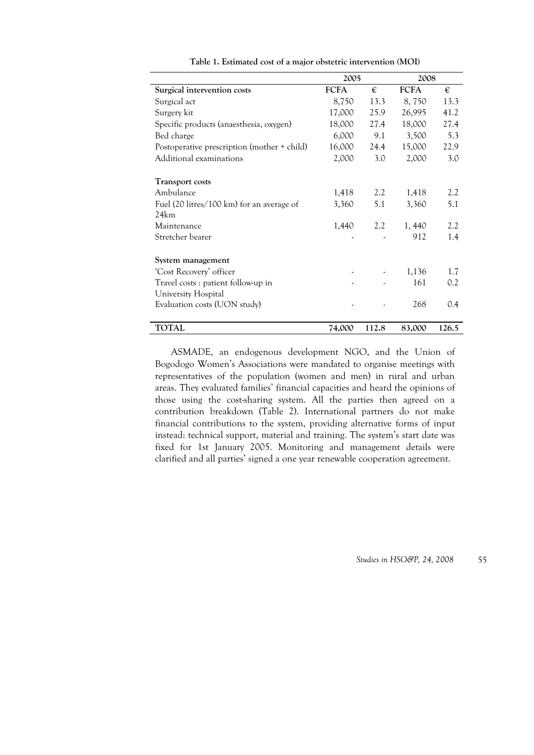|                                             | 2005        |       | 2008        |       |
|---------------------------------------------|-------------|-------|-------------|-------|
| Surgical intervention costs                 | <b>FCFA</b> | €     | <b>FCFA</b> | €     |
| Surgical act                                | 8,750       | 13.3  | 8,750       | 13.3  |
| Surgery kit                                 | 17,000      | 25.9  | 26,995      | 41.2  |
| Specific products (anaesthesia, oxygen)     | 18,000      | 27.4  | 18,000      | 27.4  |
| Bed charge                                  | 6,000       | 9.1   | 3,500       | 5.3   |
| Postoperative prescription (mother + child) | 16,000      | 24.4  | 15,000      | 22.9  |
| Additional examinations                     | 2,000       | 3.0   | 2,000       | 3.0   |
| <b>Transport costs</b>                      |             |       |             |       |
| Ambulance                                   | 1,418       | 2.2   | 1,418       | 2.2   |
| Fuel (20 litres/100 km) for an average of   | 3,360       | 5.1   | 3,360       | 5.1   |
| 24km                                        |             |       |             |       |
| Maintenance                                 | 1,440       | 2.2   | 1,440       | 2.2   |
| Stretcher bearer                            |             |       | 912         | 1.4   |
| System management                           |             |       |             |       |
| 'Cost Recovery' officer                     | ٠           |       | 1,136       | 1.7   |
| Travel costs: patient follow-up in          |             |       | 161         | 0.2   |
| University Hospital                         |             |       |             |       |
| Evaluation costs (UON study)                |             |       | 268         | 0.4   |
| <b>TOTAL</b>                                | 74,000      | 112.8 | 83,000      | 126.5 |

**Table 1. Estimated cost of a major obstetric intervention (MOI)** 

ASMADE, an endogenous development NGO, and the Union of Bogodogo Women's Associations were mandated to organise meetings with representatives of the population (women and men) in rural and urban areas. They evaluated families' financial capacities and heard the opinions of those using the cost-sharing system. All the parties then agreed on a contribution breakdown (Table 2). International partners do not make financial contributions to the system, providing alternative forms of input instead: technical support, material and training. The system's start date was fixed for 1st January 2005. Monitoring and management details were clarified and all parties' signed a one year renewable cooperation agreement.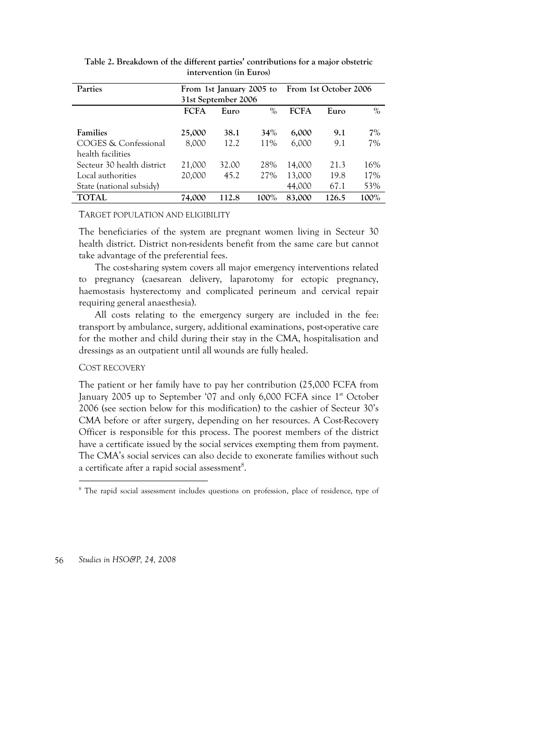| <b>Parties</b>             | From 1st January 2005 to From 1st October 2006<br>31st September 2006 |       |      |             |       |      |
|----------------------------|-----------------------------------------------------------------------|-------|------|-------------|-------|------|
|                            | <b>FCFA</b>                                                           | Euro  | $\%$ | <b>FCFA</b> | Euro  | $\%$ |
| <b>Families</b>            | 25,000                                                                | 38.1  | 34%  | 6,000       | 9.1   | 7%   |
| COGES & Confessional       | 8.000                                                                 | 12.2  | 11%  | 6,000       | 9.1   | 7%   |
| health facilities          |                                                                       |       |      |             |       |      |
| Secteur 30 health district | 21,000                                                                | 32.00 | 28%  | 14.000      | 21.3  | 16%  |
| Local authorities          | 20,000                                                                | 45.2  | 27%  | 13,000      | 19.8  | 17%  |
| State (national subsidy)   |                                                                       |       |      | 44,000      | 67.1  | 53%  |
| <b>TOTAL</b>               | 74.000                                                                | 112.8 | 100% | 83,000      | 126.5 | 100% |

**Table 2. Breakdown of the different parties' contributions for a major obstetric intervention (in Euros)** 

#### TARGET POPULATION AND ELIGIBILITY

The beneficiaries of the system are pregnant women living in Secteur 30 health district. District non-residents benefit from the same care but cannot take advantage of the preferential fees.

The cost-sharing system covers all major emergency interventions related to pregnancy (caesarean delivery, laparotomy for ectopic pregnancy, haemostasis hysterectomy and complicated perineum and cervical repair requiring general anaesthesia).

All costs relating to the emergency surgery are included in the fee: transport by ambulance, surgery, additional examinations, post-operative care for the mother and child during their stay in the CMA, hospitalisation and dressings as an outpatient until all wounds are fully healed.

#### COST RECOVERY

The patient or her family have to pay her contribution (25,000 FCFA from January 2005 up to September '07 and only 6,000 FCFA since 1<sup>st</sup> October 2006 (see section below for this modification) to the cashier of Secteur 30's CMA before or after surgery, depending on her resources. A Cost-Recovery Officer is responsible for this process. The poorest members of the district have a certificate issued by the social services exempting them from payment. The CMA's social services can also decide to exonerate families without such a certificate after a rapid social assessment $^8$ .

 8 The rapid social assessment includes questions on profession, place of residence, type of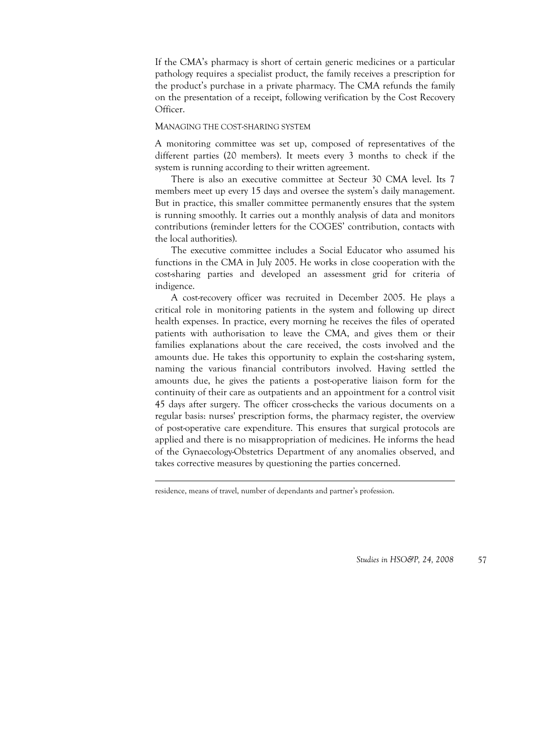If the CMA's pharmacy is short of certain generic medicines or a particular pathology requires a specialist product, the family receives a prescription for the product's purchase in a private pharmacy. The CMA refunds the family on the presentation of a receipt, following verification by the Cost Recovery Officer.

#### MANAGING THE COST-SHARING SYSTEM

A monitoring committee was set up, composed of representatives of the different parties (20 members). It meets every 3 months to check if the system is running according to their written agreement.

There is also an executive committee at Secteur 30 CMA level. Its 7 members meet up every 15 days and oversee the system's daily management. But in practice, this smaller committee permanently ensures that the system is running smoothly. It carries out a monthly analysis of data and monitors contributions (reminder letters for the COGES' contribution, contacts with the local authorities).

The executive committee includes a Social Educator who assumed his functions in the CMA in July 2005. He works in close cooperation with the cost-sharing parties and developed an assessment grid for criteria of indigence.

A cost-recovery officer was recruited in December 2005. He plays a critical role in monitoring patients in the system and following up direct health expenses. In practice, every morning he receives the files of operated patients with authorisation to leave the CMA, and gives them or their families explanations about the care received, the costs involved and the amounts due. He takes this opportunity to explain the cost-sharing system, naming the various financial contributors involved. Having settled the amounts due, he gives the patients a post-operative liaison form for the continuity of their care as outpatients and an appointment for a control visit 45 days after surgery. The officer cross-checks the various documents on a regular basis: nurses' prescription forms, the pharmacy register, the overview of post-operative care expenditure. This ensures that surgical protocols are applied and there is no misappropriation of medicines. He informs the head of the Gynaecology-Obstetrics Department of any anomalies observed, and takes corrective measures by questioning the parties concerned.

<u>.</u>

residence, means of travel, number of dependants and partner's profession.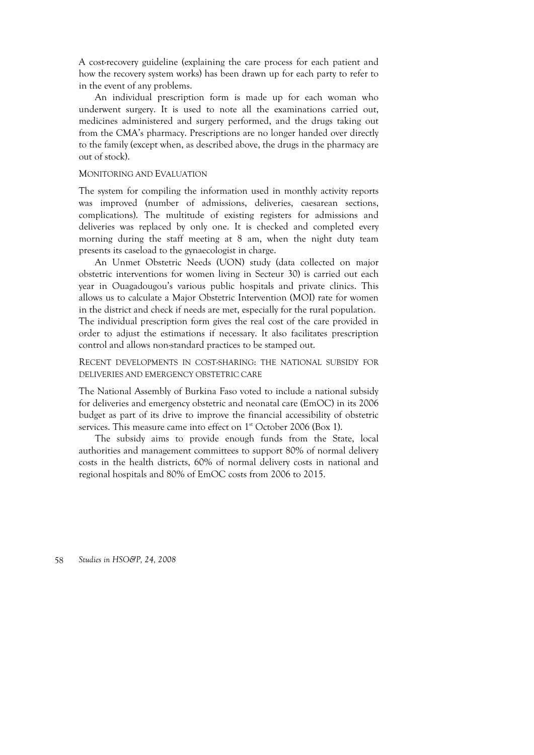A cost-recovery guideline (explaining the care process for each patient and how the recovery system works) has been drawn up for each party to refer to in the event of any problems.

An individual prescription form is made up for each woman who underwent surgery. It is used to note all the examinations carried out, medicines administered and surgery performed, and the drugs taking out from the CMA's pharmacy. Prescriptions are no longer handed over directly to the family (except when, as described above, the drugs in the pharmacy are out of stock).

#### MONITORING AND EVALUATION

The system for compiling the information used in monthly activity reports was improved (number of admissions, deliveries, caesarean sections, complications). The multitude of existing registers for admissions and deliveries was replaced by only one. It is checked and completed every morning during the staff meeting at 8 am, when the night duty team presents its caseload to the gynaecologist in charge.

An Unmet Obstetric Needs (UON) study (data collected on major obstetric interventions for women living in Secteur 30) is carried out each year in Ouagadougou's various public hospitals and private clinics. This allows us to calculate a Major Obstetric Intervention (MOI) rate for women in the district and check if needs are met, especially for the rural population. The individual prescription form gives the real cost of the care provided in order to adjust the estimations if necessary. It also facilitates prescription control and allows non-standard practices to be stamped out.

RECENT DEVELOPMENTS IN COST-SHARING: THE NATIONAL SUBSIDY FOR DELIVERIES AND EMERGENCY OBSTETRIC CARE

The National Assembly of Burkina Faso voted to include a national subsidy for deliveries and emergency obstetric and neonatal care (EmOC) in its 2006 budget as part of its drive to improve the financial accessibility of obstetric services. This measure came into effect on 1<sup>st</sup> October 2006 (Box 1).

The subsidy aims to provide enough funds from the State, local authorities and management committees to support 80% of normal delivery costs in the health districts, 60% of normal delivery costs in national and regional hospitals and 80% of EmOC costs from 2006 to 2015.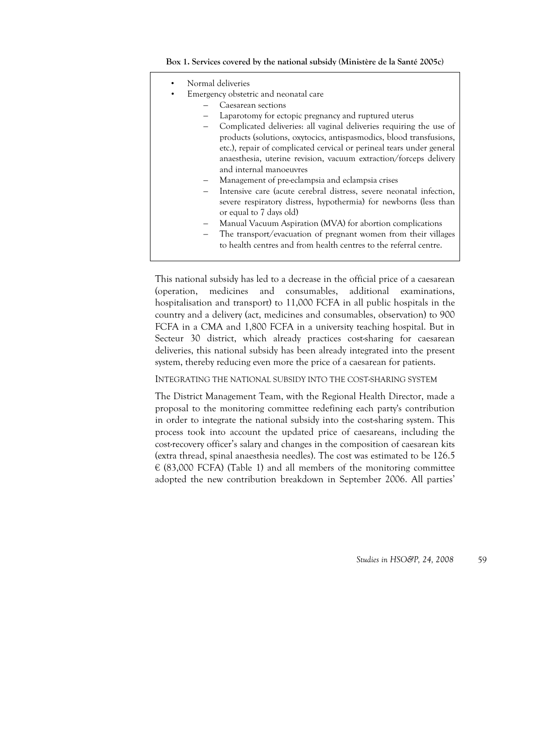| Normal deliveries                                                     |
|-----------------------------------------------------------------------|
| Emergency obstetric and neonatal care                                 |
| Caesarean sections                                                    |
| Laparotomy for ectopic pregnancy and ruptured uterus                  |
| Complicated deliveries: all vaginal deliveries requiring the use of   |
| products (solutions, oxytocics, antispasmodics, blood transfusions,   |
| etc.), repair of complicated cervical or perineal tears under general |
| anaesthesia, uterine revision, vacuum extraction/forceps delivery     |
| and internal manoeuvres                                               |
| Management of pre-eclampsia and eclampsia crises                      |
| Intensive care (acute cerebral distress, severe neonatal infection,   |
| severe respiratory distress, hypothermia) for newborns (less than     |
| or equal to 7 days old)                                               |
| Manual Vacuum Aspiration (MVA) for abortion complications             |
| The transport/evacuation of pregnant women from their villages        |
| to health centres and from health centres to the referral centre.     |

This national subsidy has led to a decrease in the official price of a caesarean (operation, medicines and consumables, additional examinations, hospitalisation and transport) to 11,000 FCFA in all public hospitals in the country and a delivery (act, medicines and consumables, observation) to 900 FCFA in a CMA and 1,800 FCFA in a university teaching hospital. But in Secteur 30 district, which already practices cost-sharing for caesarean

deliveries, this national subsidy has been already integrated into the present

system, thereby reducing even more the price of a caesarean for patients. INTEGRATING THE NATIONAL SUBSIDY INTO THE COST-SHARING SYSTEM

The District Management Team, with the Regional Health Director, made a proposal to the monitoring committee redefining each party's contribution in order to integrate the national subsidy into the cost-sharing system. This process took into account the updated price of caesareans, including the cost-recovery officer's salary and changes in the composition of caesarean kits (extra thread, spinal anaesthesia needles). The cost was estimated to be 126.5  $\in$  (83,000 FCFA) (Table 1) and all members of the monitoring committee adopted the new contribution breakdown in September 2006. All parties'

*Studies in HSO&P, 24, 2008* 59

#### **Box 1. Services covered by the national subsidy (Ministère de la Santé 2005c)**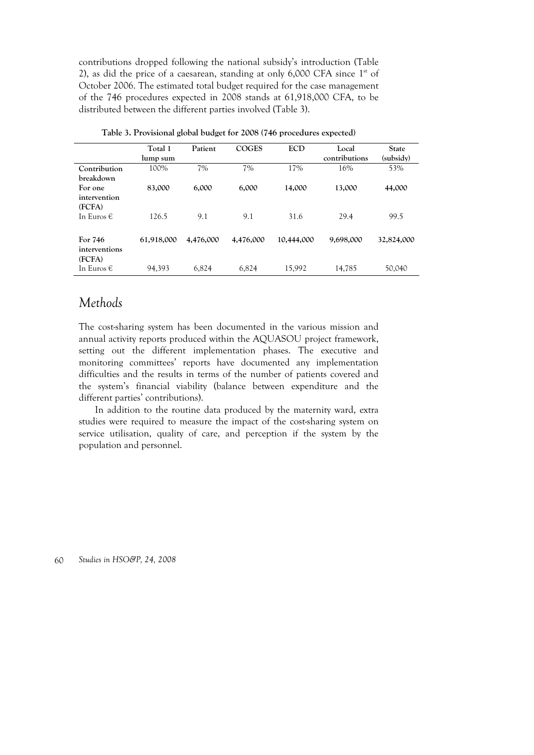contributions dropped following the national subsidy's introduction (Table 2), as did the price of a caesarean, standing at only  $6,000$  CFA since  $1<sup>st</sup>$  of October 2006. The estimated total budget required for the case management of the 746 procedures expected in 2008 stands at 61,918,000 CFA, to be distributed between the different parties involved (Table 3).

|                                    | Total 1<br>lump sum | Patient   | <b>COGES</b> | <b>ECD</b> | Local<br>contributions | <b>State</b><br>(subsidy) |
|------------------------------------|---------------------|-----------|--------------|------------|------------------------|---------------------------|
| Contribution<br>breakdown          | 100%                | 7%        | 7%           | 17%        | 16%                    | 53%                       |
| For one<br>intervention<br>(FCFA)  | 83,000              | 6,000     | 6,000        | 14,000     | 13,000                 | 44,000                    |
| In Euros $\epsilon$                | 126.5               | 9.1       | 9.1          | 31.6       | 29.4                   | 99.5                      |
| For 746<br>interventions<br>(FCFA) | 61,918,000          | 4,476,000 | 4,476,000    | 10,444,000 | 9,698,000              | 32,824,000                |
| In Euros €                         | 94,393              | 6,824     | 6.824        | 15.992     | 14,785                 | 50,040                    |

|  |  |  | Table 3. Provisional global budget for 2008 (746 procedures expected) |
|--|--|--|-----------------------------------------------------------------------|
|--|--|--|-----------------------------------------------------------------------|

# *Methods*

The cost-sharing system has been documented in the various mission and annual activity reports produced within the AQUASOU project framework, setting out the different implementation phases. The executive and monitoring committees' reports have documented any implementation difficulties and the results in terms of the number of patients covered and the system's financial viability (balance between expenditure and the different parties' contributions).

In addition to the routine data produced by the maternity ward, extra studies were required to measure the impact of the cost-sharing system on service utilisation, quality of care, and perception if the system by the population and personnel.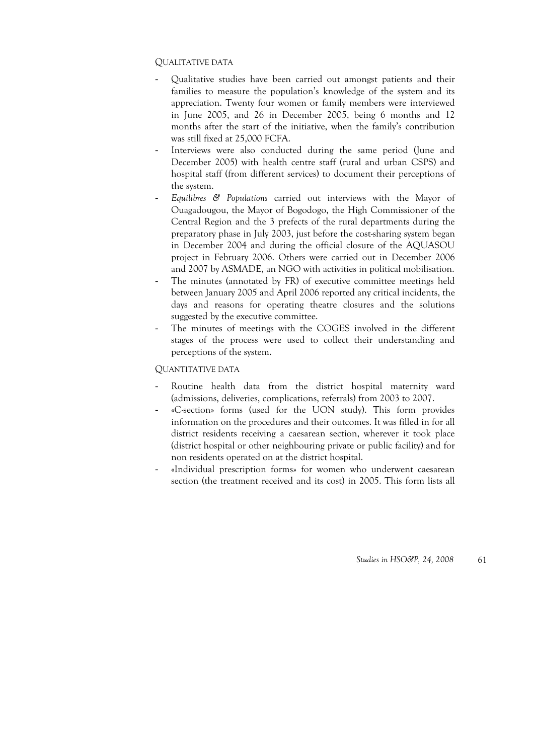### QUALITATIVE DATA

- Qualitative studies have been carried out amongst patients and their families to measure the population's knowledge of the system and its appreciation. Twenty four women or family members were interviewed in June 2005, and 26 in December 2005, being 6 months and 12 months after the start of the initiative, when the family's contribution was still fixed at 25,000 FCFA.
- Interviews were also conducted during the same period (June and December 2005) with health centre staff (rural and urban CSPS) and hospital staff (from different services) to document their perceptions of the system.
- *Equilibres & Populations* carried out interviews with the Mayor of Ouagadougou, the Mayor of Bogodogo, the High Commissioner of the Central Region and the 3 prefects of the rural departments during the preparatory phase in July 2003, just before the cost-sharing system began in December 2004 and during the official closure of the AQUASOU project in February 2006. Others were carried out in December 2006 and 2007 by ASMADE, an NGO with activities in political mobilisation.
- The minutes (annotated by FR) of executive committee meetings held between January 2005 and April 2006 reported any critical incidents, the days and reasons for operating theatre closures and the solutions suggested by the executive committee.
- The minutes of meetings with the COGES involved in the different stages of the process were used to collect their understanding and perceptions of the system.

### QUANTITATIVE DATA

- Routine health data from the district hospital maternity ward (admissions, deliveries, complications, referrals) from 2003 to 2007.
- «C-section» forms (used for the UON study). This form provides information on the procedures and their outcomes. It was filled in for all district residents receiving a caesarean section, wherever it took place (district hospital or other neighbouring private or public facility) and for non residents operated on at the district hospital.
- «Individual prescription forms» for women who underwent caesarean section (the treatment received and its cost) in 2005. This form lists all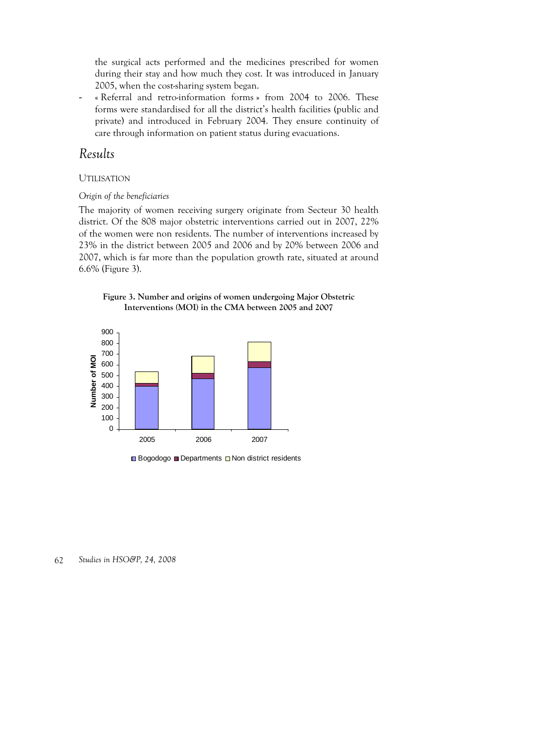the surgical acts performed and the medicines prescribed for women during their stay and how much they cost. It was introduced in January 2005, when the cost-sharing system began.

« Referral and retro-information forms » from 2004 to 2006. These forms were standardised for all the district's health facilities (public and private) and introduced in February 2004. They ensure continuity of care through information on patient status during evacuations.

# *Results*

### UTILISATION

### *Origin of the beneficiaries*

The majority of women receiving surgery originate from Secteur 30 health district. Of the 808 major obstetric interventions carried out in 2007, 22% of the women were non residents. The number of interventions increased by 23% in the district between 2005 and 2006 and by 20% between 2006 and 2007, which is far more than the population growth rate, situated at around 6.6% (Figure 3).





 $\Box$  Bogodogo  $\Box$  Departments  $\Box$  Non district residents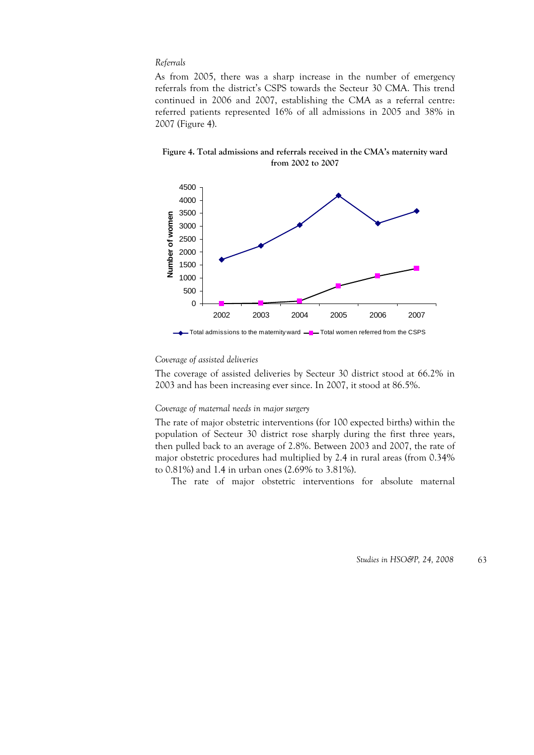#### *Referrals*

As from 2005, there was a sharp increase in the number of emergency referrals from the district's CSPS towards the Secteur 30 CMA. This trend continued in 2006 and 2007, establishing the CMA as a referral centre: referred patients represented 16% of all admissions in 2005 and 38% in 2007 (Figure 4).

**Figure 4. Total admissions and referrals received in the CMA's maternity ward from 2002 to 2007** 



#### *Coverage of assisted deliveries*

The coverage of assisted deliveries by Secteur 30 district stood at 66.2% in 2003 and has been increasing ever since. In 2007, it stood at 86.5%.

#### *Coverage of maternal needs in major surgery*

The rate of major obstetric interventions (for 100 expected births) within the population of Secteur 30 district rose sharply during the first three years, then pulled back to an average of 2.8%. Between 2003 and 2007, the rate of major obstetric procedures had multiplied by 2.4 in rural areas (from 0.34% to 0.81%) and 1.4 in urban ones (2.69% to 3.81%).

The rate of major obstetric interventions for absolute maternal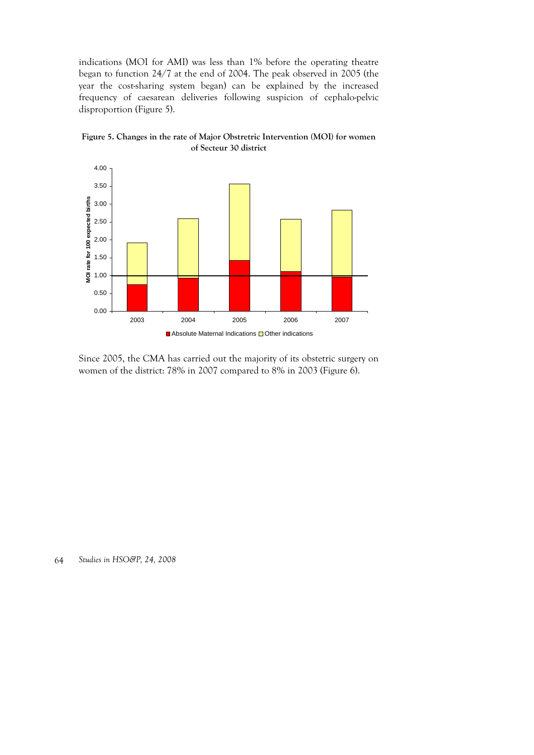indications (MOI for AMI) was less than 1% before the operating theatre began to function 24/7 at the end of 2004. The peak observed in 2005 (the year the cost-sharing system began) can be explained by the increased frequency of caesarean deliveries following suspicion of cephalo-pelvic disproportion (Figure 5).





Since 2005, the CMA has carried out the majority of its obstetric surgery on women of the district: 78% in 2007 compared to 8% in 2003 (Figure 6).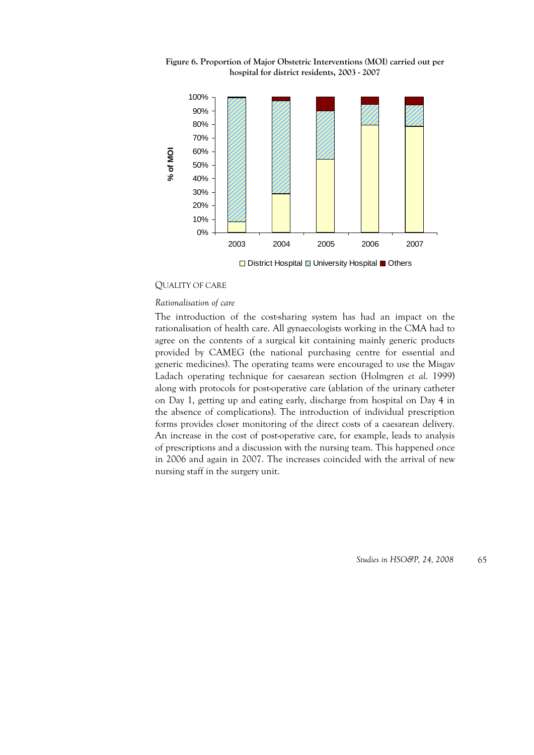



□ District Hospital ■ University Hospital ■ Others

#### QUALITY OF CARE

#### *Rationalisation of care*

The introduction of the cost-sharing system has had an impact on the rationalisation of health care. All gynaecologists working in the CMA had to agree on the contents of a surgical kit containing mainly generic products provided by CAMEG (the national purchasing centre for essential and generic medicines). The operating teams were encouraged to use the Misgav Ladach operating technique for caesarean section (Holmgren *et al*. 1999) along with protocols for post-operative care (ablation of the urinary catheter on Day 1, getting up and eating early, discharge from hospital on Day 4 in the absence of complications). The introduction of individual prescription forms provides closer monitoring of the direct costs of a caesarean delivery. An increase in the cost of post-operative care, for example, leads to analysis of prescriptions and a discussion with the nursing team. This happened once in 2006 and again in 2007. The increases coincided with the arrival of new nursing staff in the surgery unit.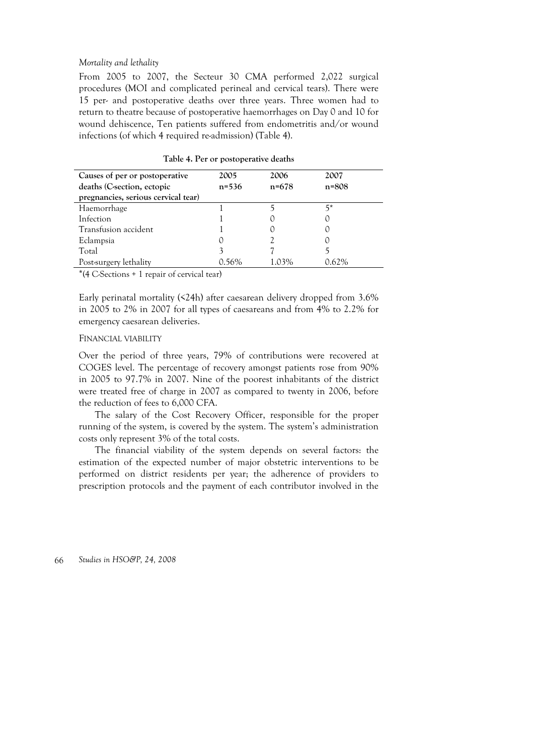#### *Mortality and lethality*

From 2005 to 2007, the Secteur 30 CMA performed 2,022 surgical procedures (MOI and complicated perineal and cervical tears). There were 15 per- and postoperative deaths over three years. Three women had to return to theatre because of postoperative haemorrhages on Day 0 and 10 for wound dehiscence, Ten patients suffered from endometritis and/or wound infections (of which 4 required re-admission) (Table 4).

| Causes of per or postoperative      | 2005      | 2006      | 2007      |
|-------------------------------------|-----------|-----------|-----------|
| deaths (C-section, ectopic          | $n = 536$ | $n = 678$ | $n = 808$ |
| pregnancies, serious cervical tear) |           |           |           |
| Haemorrhage                         |           |           | 5*        |
| Infection                           |           |           |           |
| Transfusion accident                |           |           |           |
| Eclampsia                           |           |           |           |
| Total                               |           |           |           |
| Post-surgery lethality              | በ 56%     | 1.03%     | ን 62%     |

**Table 4. Per or postoperative deaths** 

 $*(4 \text{ C-Sections } + 1 \text{ repair of cervical tear})$ 

Early perinatal mortality (<24h) after caesarean delivery dropped from 3.6% in 2005 to 2% in 2007 for all types of caesareans and from 4% to 2.2% for emergency caesarean deliveries.

#### FINANCIAL VIABILITY

Over the period of three years, 79% of contributions were recovered at COGES level. The percentage of recovery amongst patients rose from 90% in 2005 to 97.7% in 2007. Nine of the poorest inhabitants of the district were treated free of charge in 2007 as compared to twenty in 2006, before the reduction of fees to 6,000 CFA.

The salary of the Cost Recovery Officer, responsible for the proper running of the system, is covered by the system. The system's administration costs only represent 3% of the total costs.

The financial viability of the system depends on several factors: the estimation of the expected number of major obstetric interventions to be performed on district residents per year; the adherence of providers to prescription protocols and the payment of each contributor involved in the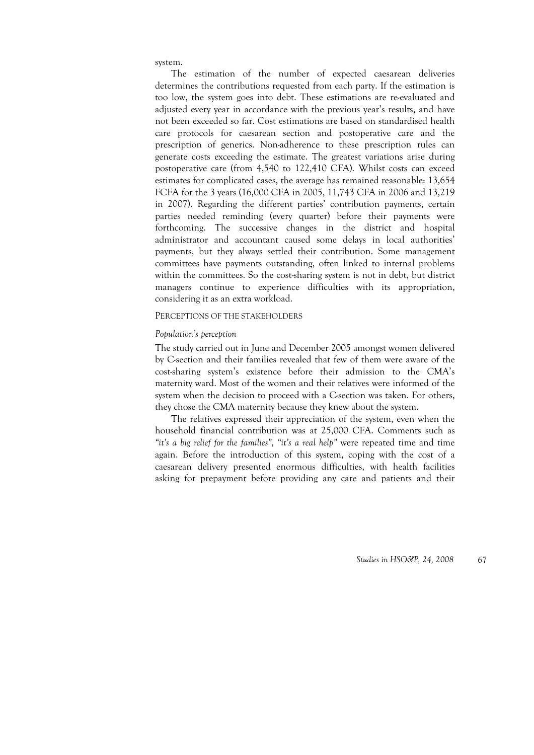system.

The estimation of the number of expected caesarean deliveries determines the contributions requested from each party. If the estimation is too low, the system goes into debt. These estimations are re-evaluated and adjusted every year in accordance with the previous year's results, and have not been exceeded so far. Cost estimations are based on standardised health care protocols for caesarean section and postoperative care and the prescription of generics. Non-adherence to these prescription rules can generate costs exceeding the estimate. The greatest variations arise during postoperative care (from 4,540 to 122,410 CFA). Whilst costs can exceed estimates for complicated cases, the average has remained reasonable: 13,654 FCFA for the 3 years (16,000 CFA in 2005, 11,743 CFA in 2006 and 13,219 in 2007). Regarding the different parties' contribution payments, certain parties needed reminding (every quarter) before their payments were forthcoming. The successive changes in the district and hospital administrator and accountant caused some delays in local authorities' payments, but they always settled their contribution. Some management committees have payments outstanding, often linked to internal problems within the committees. So the cost-sharing system is not in debt, but district managers continue to experience difficulties with its appropriation, considering it as an extra workload.

#### PERCEPTIONS OF THE STAKEHOLDERS

#### *Population's perception*

The study carried out in June and December 2005 amongst women delivered by C-section and their families revealed that few of them were aware of the cost-sharing system's existence before their admission to the CMA's maternity ward. Most of the women and their relatives were informed of the system when the decision to proceed with a C-section was taken. For others, they chose the CMA maternity because they knew about the system.

The relatives expressed their appreciation of the system, even when the household financial contribution was at 25,000 CFA. Comments such as *"it's a big relief for the families", "it's a real help"* were repeated time and time again. Before the introduction of this system, coping with the cost of a caesarean delivery presented enormous difficulties, with health facilities asking for prepayment before providing any care and patients and their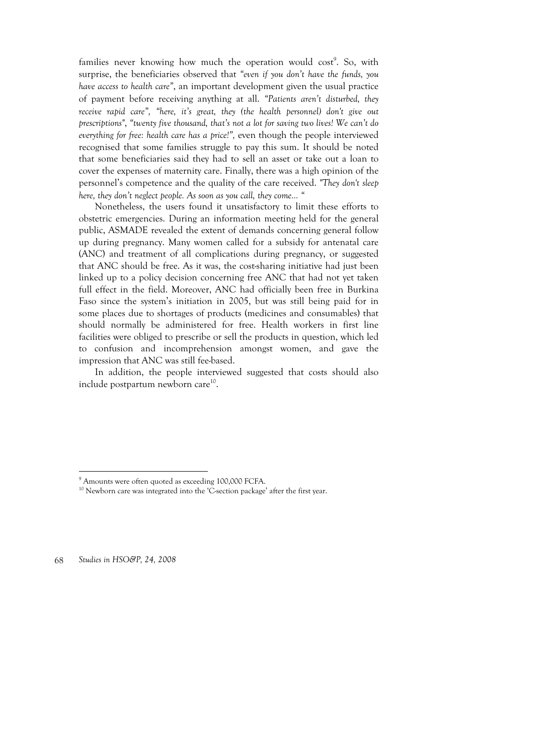families never knowing how much the operation would cost<sup>9</sup>. So, with surprise, the beneficiaries observed that *"even if you don't have the funds, you have access to health care"*, an important development given the usual practice of payment before receiving anything at all. *"Patients aren't disturbed, they receive rapid care", "here, it's great, they (the health personnel) don't give out prescriptions"*, *"twenty five thousand, that's not a lot for saving two lives! We can't do everything for free: health care has a price!",* even though the people interviewed recognised that some families struggle to pay this sum. It should be noted that some beneficiaries said they had to sell an asset or take out a loan to cover the expenses of maternity care. Finally, there was a high opinion of the personnel's competence and the quality of the care received. *"They don't sleep here, they don't neglect people. As soon as you call, they come… "*

Nonetheless, the users found it unsatisfactory to limit these efforts to obstetric emergencies. During an information meeting held for the general public, ASMADE revealed the extent of demands concerning general follow up during pregnancy. Many women called for a subsidy for antenatal care (ANC) and treatment of all complications during pregnancy, or suggested that ANC should be free. As it was, the cost-sharing initiative had just been linked up to a policy decision concerning free ANC that had not yet taken full effect in the field. Moreover, ANC had officially been free in Burkina Faso since the system's initiation in 2005, but was still being paid for in some places due to shortages of products (medicines and consumables) that should normally be administered for free. Health workers in first line facilities were obliged to prescribe or sell the products in question, which led to confusion and incomprehension amongst women, and gave the impression that ANC was still fee-based.

In addition, the people interviewed suggested that costs should also include postpartum newborn care $10$ .

68 *Studies in HSO&P, 24, 2008* 

 $\overline{a}$ 

<sup>&</sup>lt;sup>9</sup> Amounts were often quoted as exceeding 100,000 FCFA.

 $10$  Newborn care was integrated into the 'C-section package' after the first year.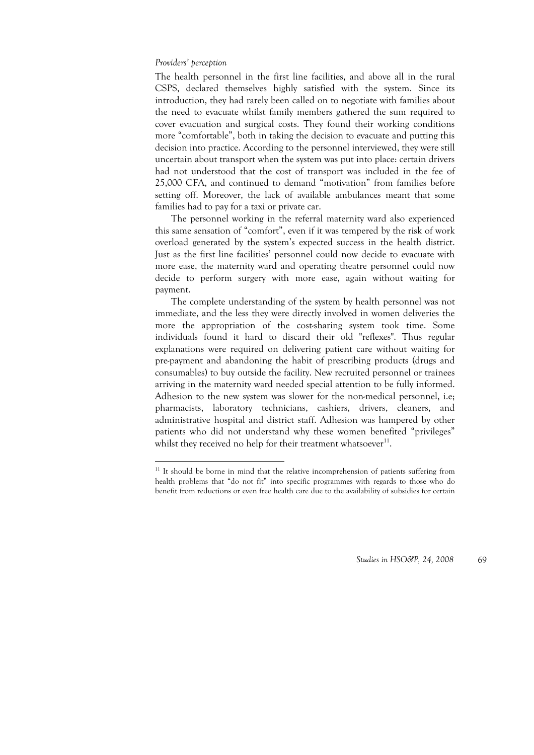#### *Providers' perception*

-

The health personnel in the first line facilities, and above all in the rural CSPS, declared themselves highly satisfied with the system. Since its introduction, they had rarely been called on to negotiate with families about the need to evacuate whilst family members gathered the sum required to cover evacuation and surgical costs. They found their working conditions more "comfortable", both in taking the decision to evacuate and putting this decision into practice. According to the personnel interviewed, they were still uncertain about transport when the system was put into place: certain drivers had not understood that the cost of transport was included in the fee of 25,000 CFA, and continued to demand "motivation" from families before setting off. Moreover, the lack of available ambulances meant that some families had to pay for a taxi or private car.

The personnel working in the referral maternity ward also experienced this same sensation of "comfort", even if it was tempered by the risk of work overload generated by the system's expected success in the health district. Just as the first line facilities' personnel could now decide to evacuate with more ease, the maternity ward and operating theatre personnel could now decide to perform surgery with more ease, again without waiting for payment.

The complete understanding of the system by health personnel was not immediate, and the less they were directly involved in women deliveries the more the appropriation of the cost-sharing system took time. Some individuals found it hard to discard their old "reflexes". Thus regular explanations were required on delivering patient care without waiting for pre-payment and abandoning the habit of prescribing products (drugs and consumables) to buy outside the facility. New recruited personnel or trainees arriving in the maternity ward needed special attention to be fully informed. Adhesion to the new system was slower for the non-medical personnel, i.e; pharmacists, laboratory technicians, cashiers, drivers, cleaners, and administrative hospital and district staff. Adhesion was hampered by other patients who did not understand why these women benefited "privileges" whilst they received no help for their treatment whatsoever $11$ .

<sup>&</sup>lt;sup>11</sup> It should be borne in mind that the relative incomprehension of patients suffering from health problems that "do not fit" into specific programmes with regards to those who do benefit from reductions or even free health care due to the availability of subsidies for certain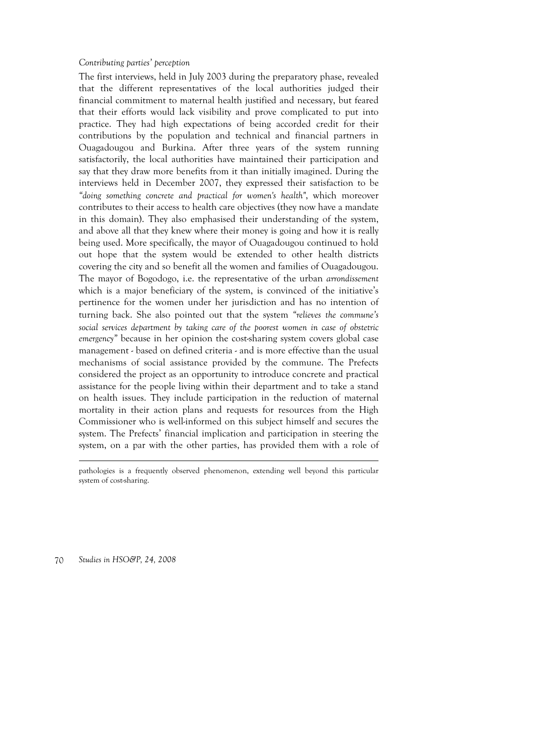#### *Contributing parties' perception*

The first interviews, held in July 2003 during the preparatory phase, revealed that the different representatives of the local authorities judged their financial commitment to maternal health justified and necessary, but feared that their efforts would lack visibility and prove complicated to put into practice. They had high expectations of being accorded credit for their contributions by the population and technical and financial partners in Ouagadougou and Burkina. After three years of the system running satisfactorily, the local authorities have maintained their participation and say that they draw more benefits from it than initially imagined. During the interviews held in December 2007, they expressed their satisfaction to be *"doing something concrete and practical for women's health"*, which moreover contributes to their access to health care objectives (they now have a mandate in this domain). They also emphasised their understanding of the system, and above all that they knew where their money is going and how it is really being used. More specifically, the mayor of Ouagadougou continued to hold out hope that the system would be extended to other health districts covering the city and so benefit all the women and families of Ouagadougou. The mayor of Bogodogo, i.e. the representative of the urban *arrondissement* which is a major beneficiary of the system, is convinced of the initiative's pertinence for the women under her jurisdiction and has no intention of turning back. She also pointed out that the system *"relieves the commune's social services department by taking care of the poorest women in case of obstetric emergency"* because in her opinion the cost-sharing system covers global case management - based on defined criteria - and is more effective than the usual mechanisms of social assistance provided by the commune. The Prefects considered the project as an opportunity to introduce concrete and practical assistance for the people living within their department and to take a stand on health issues. They include participation in the reduction of maternal mortality in their action plans and requests for resources from the High Commissioner who is well-informed on this subject himself and secures the system. The Prefects' financial implication and participation in steering the system, on a par with the other parties, has provided them with a role of

pathologies is a frequently observed phenomenon, extending well beyond this particular system of cost-sharing.

70 *Studies in HSO&P, 24, 2008* 

 $\overline{a}$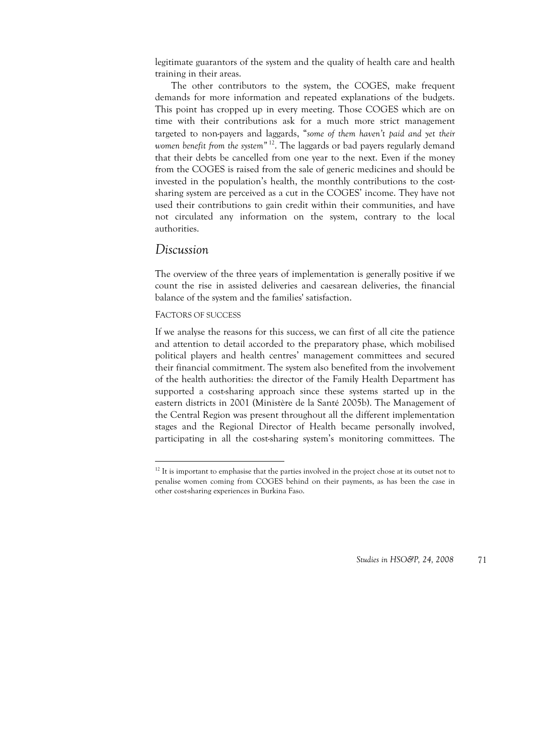legitimate guarantors of the system and the quality of health care and health training in their areas.

The other contributors to the system, the COGES, make frequent demands for more information and repeated explanations of the budgets. This point has cropped up in every meeting. Those COGES which are on time with their contributions ask for a much more strict management targeted to non-payers and laggards, "*some of them haven't paid and yet their*  women benefit from the system<sup>" 12</sup>. The laggards or bad payers regularly demand that their debts be cancelled from one year to the next. Even if the money from the COGES is raised from the sale of generic medicines and should be invested in the population's health, the monthly contributions to the costsharing system are perceived as a cut in the COGES' income. They have not used their contributions to gain credit within their communities, and have not circulated any information on the system, contrary to the local authorities.

## *Discussion*

-

The overview of the three years of implementation is generally positive if we count the rise in assisted deliveries and caesarean deliveries, the financial balance of the system and the families' satisfaction.

#### FACTORS OF SUCCESS

If we analyse the reasons for this success, we can first of all cite the patience and attention to detail accorded to the preparatory phase, which mobilised political players and health centres' management committees and secured their financial commitment. The system also benefited from the involvement of the health authorities: the director of the Family Health Department has supported a cost-sharing approach since these systems started up in the eastern districts in 2001 (Ministère de la Santé 2005b). The Management of the Central Region was present throughout all the different implementation stages and the Regional Director of Health became personally involved, participating in all the cost-sharing system's monitoring committees. The

 $12$  It is important to emphasise that the parties involved in the project chose at its outset not to penalise women coming from COGES behind on their payments, as has been the case in other cost-sharing experiences in Burkina Faso.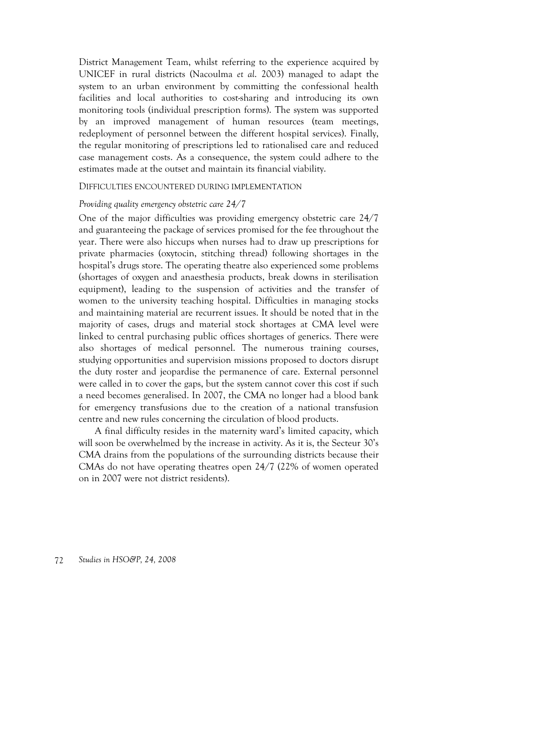District Management Team, whilst referring to the experience acquired by UNICEF in rural districts (Nacoulma *et al*. 2003) managed to adapt the system to an urban environment by committing the confessional health facilities and local authorities to cost-sharing and introducing its own monitoring tools (individual prescription forms). The system was supported by an improved management of human resources (team meetings, redeployment of personnel between the different hospital services). Finally, the regular monitoring of prescriptions led to rationalised care and reduced case management costs. As a consequence, the system could adhere to the estimates made at the outset and maintain its financial viability.

#### DIFFICULTIES ENCOUNTERED DURING IMPLEMENTATION

#### *Providing quality emergency obstetric care 24/7*

One of the major difficulties was providing emergency obstetric care 24/7 and guaranteeing the package of services promised for the fee throughout the year. There were also hiccups when nurses had to draw up prescriptions for private pharmacies (oxytocin, stitching thread) following shortages in the hospital's drugs store. The operating theatre also experienced some problems (shortages of oxygen and anaesthesia products, break downs in sterilisation equipment), leading to the suspension of activities and the transfer of women to the university teaching hospital. Difficulties in managing stocks and maintaining material are recurrent issues. It should be noted that in the majority of cases, drugs and material stock shortages at CMA level were linked to central purchasing public offices shortages of generics. There were also shortages of medical personnel. The numerous training courses, studying opportunities and supervision missions proposed to doctors disrupt the duty roster and jeopardise the permanence of care. External personnel were called in to cover the gaps, but the system cannot cover this cost if such a need becomes generalised. In 2007, the CMA no longer had a blood bank for emergency transfusions due to the creation of a national transfusion centre and new rules concerning the circulation of blood products.

A final difficulty resides in the maternity ward's limited capacity, which will soon be overwhelmed by the increase in activity. As it is, the Secteur 30's CMA drains from the populations of the surrounding districts because their CMAs do not have operating theatres open 24/7 (22% of women operated on in 2007 were not district residents).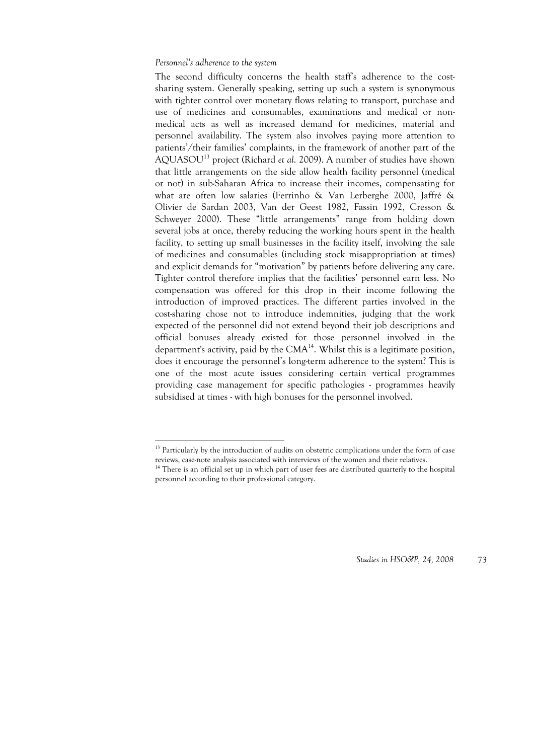#### *Personnel's adherence to the system*

-

The second difficulty concerns the health staff's adherence to the costsharing system. Generally speaking, setting up such a system is synonymous with tighter control over monetary flows relating to transport, purchase and use of medicines and consumables, examinations and medical or nonmedical acts as well as increased demand for medicines, material and personnel availability. The system also involves paying more attention to patients'/their families' complaints, in the framework of another part of the AQUASOU13 project (Richard *et al*. 2009). A number of studies have shown that little arrangements on the side allow health facility personnel (medical or not) in sub-Saharan Africa to increase their incomes, compensating for what are often low salaries (Ferrinho & Van Lerberghe 2000, Jaffré & Olivier de Sardan 2003, Van der Geest 1982, Fassin 1992, Cresson & Schweyer 2000). These "little arrangements" range from holding down several jobs at once, thereby reducing the working hours spent in the health facility, to setting up small businesses in the facility itself, involving the sale of medicines and consumables (including stock misappropriation at times) and explicit demands for "motivation" by patients before delivering any care. Tighter control therefore implies that the facilities' personnel earn less. No compensation was offered for this drop in their income following the introduction of improved practices. The different parties involved in the cost-sharing chose not to introduce indemnities, judging that the work expected of the personnel did not extend beyond their job descriptions and official bonuses already existed for those personnel involved in the department's activity, paid by the  $CMA<sup>14</sup>$ . Whilst this is a legitimate position, does it encourage the personnel's long-term adherence to the system? This is one of the most acute issues considering certain vertical programmes providing case management for specific pathologies - programmes heavily subsidised at times - with high bonuses for the personnel involved.

<sup>&</sup>lt;sup>13</sup> Particularly by the introduction of audits on obstetric complications under the form of case reviews, case-note analysis associated with interviews of the women and their relatives.

<sup>&</sup>lt;sup>14</sup> There is an official set up in which part of user fees are distributed quarterly to the hospital personnel according to their professional category.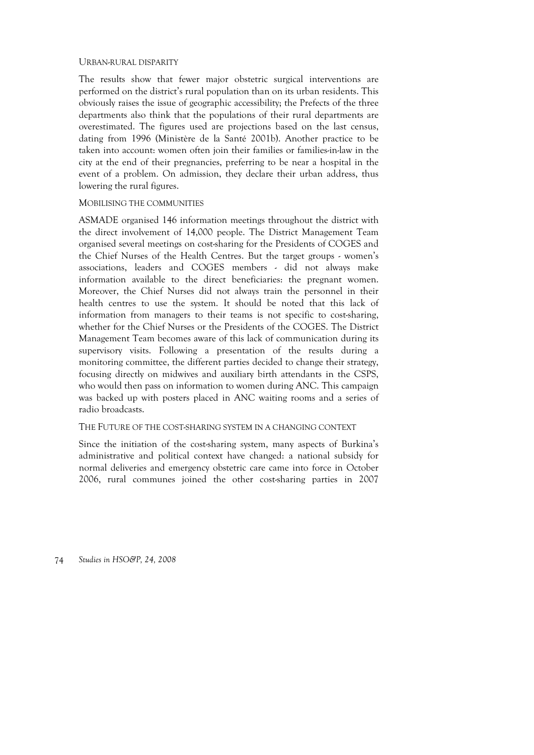#### URBAN-RURAL DISPARITY

The results show that fewer major obstetric surgical interventions are performed on the district's rural population than on its urban residents. This obviously raises the issue of geographic accessibility; the Prefects of the three departments also think that the populations of their rural departments are overestimated. The figures used are projections based on the last census, dating from 1996 (Ministère de la Santé 2001b). Another practice to be taken into account: women often join their families or families-in-law in the city at the end of their pregnancies, preferring to be near a hospital in the event of a problem. On admission, they declare their urban address, thus lowering the rural figures.

#### MOBILISING THE COMMUNITIES

ASMADE organised 146 information meetings throughout the district with the direct involvement of 14,000 people. The District Management Team organised several meetings on cost-sharing for the Presidents of COGES and the Chief Nurses of the Health Centres. But the target groups - women's associations, leaders and COGES members - did not always make information available to the direct beneficiaries: the pregnant women. Moreover, the Chief Nurses did not always train the personnel in their health centres to use the system. It should be noted that this lack of information from managers to their teams is not specific to cost-sharing, whether for the Chief Nurses or the Presidents of the COGES. The District Management Team becomes aware of this lack of communication during its supervisory visits. Following a presentation of the results during a monitoring committee, the different parties decided to change their strategy, focusing directly on midwives and auxiliary birth attendants in the CSPS, who would then pass on information to women during ANC. This campaign was backed up with posters placed in ANC waiting rooms and a series of radio broadcasts.

#### THE FUTURE OF THE COST-SHARING SYSTEM IN A CHANGING CONTEXT

Since the initiation of the cost-sharing system, many aspects of Burkina's administrative and political context have changed: a national subsidy for normal deliveries and emergency obstetric care came into force in October 2006, rural communes joined the other cost-sharing parties in 2007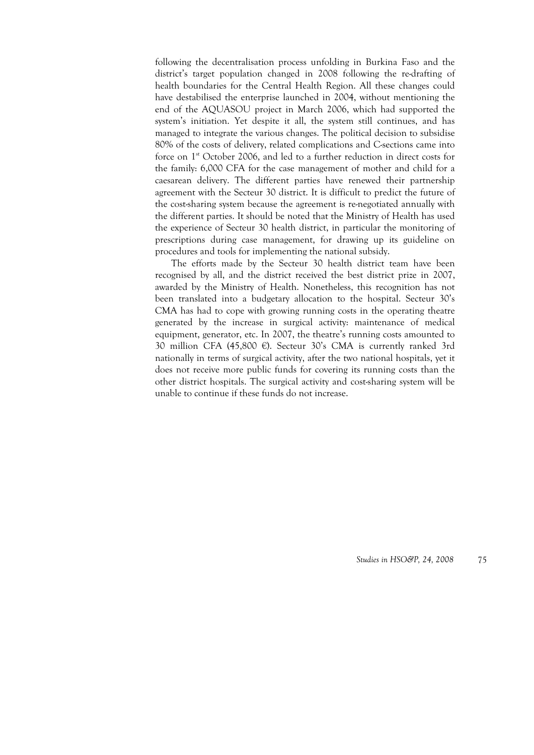following the decentralisation process unfolding in Burkina Faso and the district's target population changed in 2008 following the re-drafting of health boundaries for the Central Health Region. All these changes could have destabilised the enterprise launched in 2004, without mentioning the end of the AQUASOU project in March 2006, which had supported the system's initiation. Yet despite it all, the system still continues, and has managed to integrate the various changes. The political decision to subsidise 80% of the costs of delivery, related complications and C-sections came into force on 1<sup>st</sup> October 2006, and led to a further reduction in direct costs for the family: 6,000 CFA for the case management of mother and child for a caesarean delivery. The different parties have renewed their partnership agreement with the Secteur 30 district. It is difficult to predict the future of the cost-sharing system because the agreement is re-negotiated annually with the different parties. It should be noted that the Ministry of Health has used the experience of Secteur 30 health district, in particular the monitoring of prescriptions during case management, for drawing up its guideline on procedures and tools for implementing the national subsidy.

The efforts made by the Secteur 30 health district team have been recognised by all, and the district received the best district prize in 2007, awarded by the Ministry of Health. Nonetheless, this recognition has not been translated into a budgetary allocation to the hospital. Secteur 30's CMA has had to cope with growing running costs in the operating theatre generated by the increase in surgical activity: maintenance of medical equipment, generator, etc. In 2007, the theatre's running costs amounted to 30 million CFA (45,800 €). Secteur 30's CMA is currently ranked 3rd nationally in terms of surgical activity, after the two national hospitals, yet it does not receive more public funds for covering its running costs than the other district hospitals. The surgical activity and cost-sharing system will be unable to continue if these funds do not increase.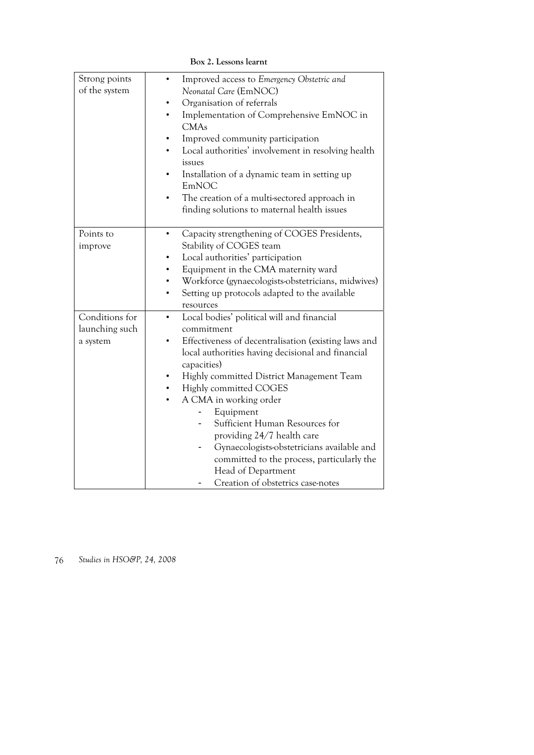| Strong points  | Improved access to Emergency Obstetric and           |
|----------------|------------------------------------------------------|
| of the system  | Neonatal Care (EmNOC)                                |
|                | Organisation of referrals                            |
|                | Implementation of Comprehensive EmNOC in             |
|                | <b>CMAs</b>                                          |
|                | Improved community participation                     |
|                | Local authorities' involvement in resolving health   |
|                | issues                                               |
|                | Installation of a dynamic team in setting up         |
|                | EmNOC                                                |
|                | The creation of a multi-sectored approach in         |
|                | finding solutions to maternal health issues          |
|                |                                                      |
| Points to      | Capacity strengthening of COGES Presidents,          |
| improve        | Stability of COGES team                              |
|                | Local authorities' participation                     |
|                | Equipment in the CMA maternity ward                  |
|                | Workforce (gynaecologists-obstetricians, midwives)   |
|                | Setting up protocols adapted to the available        |
|                | resources                                            |
| Conditions for | Local bodies' political will and financial           |
| launching such | commitment                                           |
| a system       | Effectiveness of decentralisation (existing laws and |
|                | local authorities having decisional and financial    |
|                | capacities)                                          |
|                | Highly committed District Management Team            |
|                | Highly committed COGES                               |
|                | A CMA in working order<br>٠                          |
|                | Equipment                                            |
|                | Sufficient Human Resources for                       |
|                | providing 24/7 health care                           |
|                | Gynaecologists-obstetricians available and           |
|                | committed to the process, particularly the           |
|                | Head of Department                                   |
|                | Creation of obstetrics case-notes                    |

**Box 2. Lessons learnt**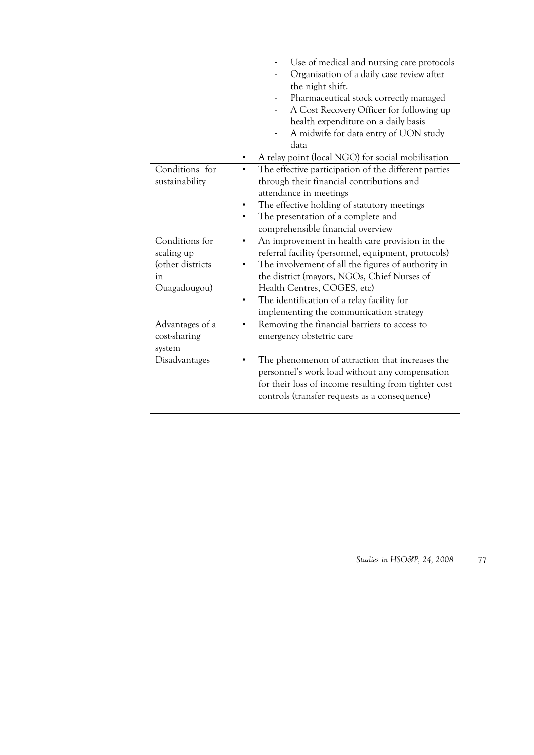| Conditions for<br>sustainability | Use of medical and nursing care protocols<br>Organisation of a daily case review after<br>the night shift.<br>Pharmaceutical stock correctly managed<br>A Cost Recovery Officer for following up<br>health expenditure on a daily basis<br>A midwife for data entry of UON study<br>data<br>A relay point (local NGO) for social mobilisation<br>The effective participation of the different parties<br>through their financial contributions and<br>attendance in meetings<br>The effective holding of statutory meetings<br>The presentation of a complete and<br>comprehensible financial overview |
|----------------------------------|--------------------------------------------------------------------------------------------------------------------------------------------------------------------------------------------------------------------------------------------------------------------------------------------------------------------------------------------------------------------------------------------------------------------------------------------------------------------------------------------------------------------------------------------------------------------------------------------------------|
| Conditions for                   | An improvement in health care provision in the                                                                                                                                                                                                                                                                                                                                                                                                                                                                                                                                                         |
| scaling up                       | referral facility (personnel, equipment, protocols)                                                                                                                                                                                                                                                                                                                                                                                                                                                                                                                                                    |
| (other districts                 | The involvement of all the figures of authority in                                                                                                                                                                                                                                                                                                                                                                                                                                                                                                                                                     |
| in                               | the district (mayors, NGOs, Chief Nurses of                                                                                                                                                                                                                                                                                                                                                                                                                                                                                                                                                            |
| Ouagadougou)                     | Health Centres, COGES, etc)                                                                                                                                                                                                                                                                                                                                                                                                                                                                                                                                                                            |
|                                  | The identification of a relay facility for                                                                                                                                                                                                                                                                                                                                                                                                                                                                                                                                                             |
|                                  | implementing the communication strategy                                                                                                                                                                                                                                                                                                                                                                                                                                                                                                                                                                |
| Advantages of a                  | Removing the financial barriers to access to                                                                                                                                                                                                                                                                                                                                                                                                                                                                                                                                                           |
| cost-sharing                     | emergency obstetric care                                                                                                                                                                                                                                                                                                                                                                                                                                                                                                                                                                               |
| system                           |                                                                                                                                                                                                                                                                                                                                                                                                                                                                                                                                                                                                        |
| Disadvantages                    | The phenomenon of attraction that increases the<br>personnel's work load without any compensation<br>for their loss of income resulting from tighter cost<br>controls (transfer requests as a consequence)                                                                                                                                                                                                                                                                                                                                                                                             |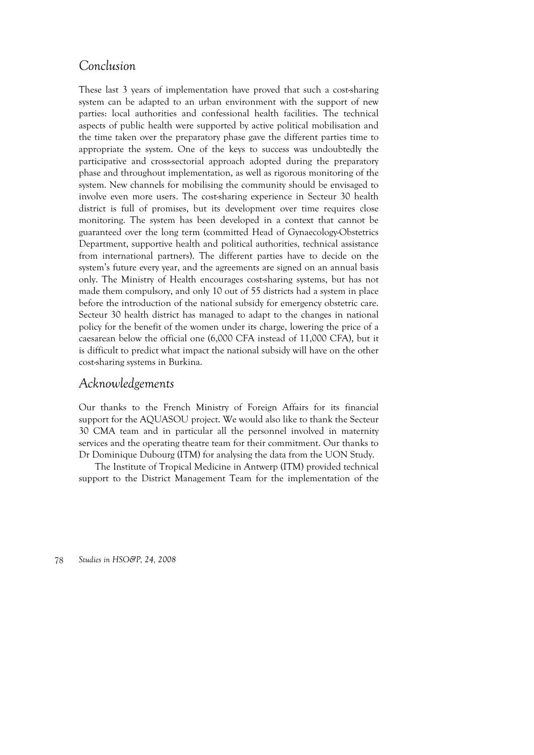# *Conclusion*

These last 3 years of implementation have proved that such a cost-sharing system can be adapted to an urban environment with the support of new parties: local authorities and confessional health facilities. The technical aspects of public health were supported by active political mobilisation and the time taken over the preparatory phase gave the different parties time to appropriate the system. One of the keys to success was undoubtedly the participative and cross-sectorial approach adopted during the preparatory phase and throughout implementation, as well as rigorous monitoring of the system. New channels for mobilising the community should be envisaged to involve even more users. The cost-sharing experience in Secteur 30 health district is full of promises, but its development over time requires close monitoring. The system has been developed in a context that cannot be guaranteed over the long term (committed Head of Gynaecology-Obstetrics Department, supportive health and political authorities, technical assistance from international partners). The different parties have to decide on the system's future every year, and the agreements are signed on an annual basis only. The Ministry of Health encourages cost-sharing systems, but has not made them compulsory, and only 10 out of 55 districts had a system in place before the introduction of the national subsidy for emergency obstetric care. Secteur 30 health district has managed to adapt to the changes in national policy for the benefit of the women under its charge, lowering the price of a caesarean below the official one (6,000 CFA instead of 11,000 CFA), but it is difficult to predict what impact the national subsidy will have on the other cost-sharing systems in Burkina.

# *Acknowledgements*

Our thanks to the French Ministry of Foreign Affairs for its financial support for the AQUASOU project. We would also like to thank the Secteur 30 CMA team and in particular all the personnel involved in maternity services and the operating theatre team for their commitment. Our thanks to Dr Dominique Dubourg (ITM) for analysing the data from the UON Study.

The Institute of Tropical Medicine in Antwerp (ITM) provided technical support to the District Management Team for the implementation of the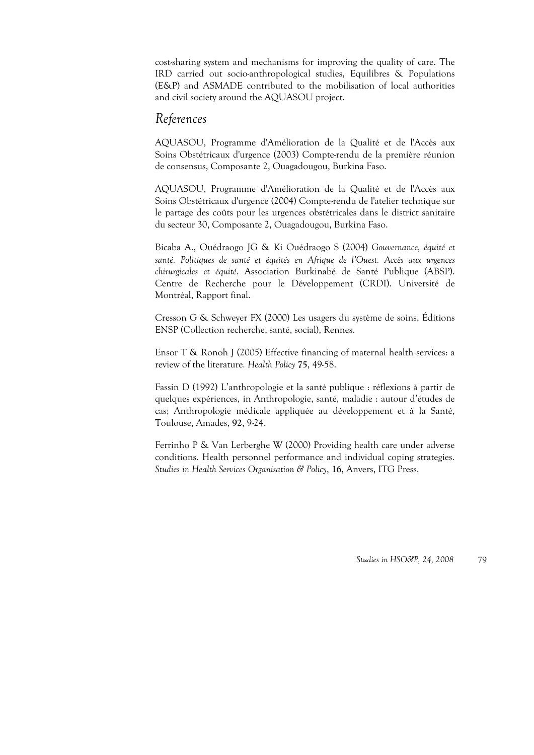cost-sharing system and mechanisms for improving the quality of care. The IRD carried out socio-anthropological studies, Equilibres & Populations (E&P) and ASMADE contributed to the mobilisation of local authorities and civil society around the AQUASOU project.

### *References*

AQUASOU, Programme d'Amélioration de la Qualité et de l'Accès aux Soins Obstétricaux d'urgence (2003) Compte-rendu de la première réunion de consensus, Composante 2, Ouagadougou, Burkina Faso.

AQUASOU, Programme d'Amélioration de la Qualité et de l'Accès aux Soins Obstétricaux d'urgence (2004) Compte-rendu de l'atelier technique sur le partage des coûts pour les urgences obstétricales dans le district sanitaire du secteur 30, Composante 2, Ouagadougou, Burkina Faso.

Bicaba A., Ouédraogo JG & Ki Ouédraogo S (2004) *Gouvernance, équité et*  santé. Politiques de santé et équités en Afrique de l'Ouest. Accès aux urgences *chirurgicales et équité*. Association Burkinabé de Santé Publique (ABSP). Centre de Recherche pour le Développement (CRDI). Université de Montréal, Rapport final.

Cresson G & Schweyer FX (2000) Les usagers du système de soins, Éditions ENSP (Collection recherche, santé, social), Rennes.

Ensor T & Ronoh J (2005) Effective financing of maternal health services: a review of the literature*. Health Policy* **75**, 49-58.

Fassin D (1992) L'anthropologie et la santé publique : réflexions à partir de quelques expériences, in Anthropologie, santé, maladie : autour d'études de cas; Anthropologie médicale appliquée au développement et à la Santé, Toulouse, Amades, **92**, 9-24.

Ferrinho P & Van Lerberghe W (2000) Providing health care under adverse conditions. Health personnel performance and individual coping strategies. *Studies in Health Services Organisation & Policy*, **16**, Anvers, ITG Press.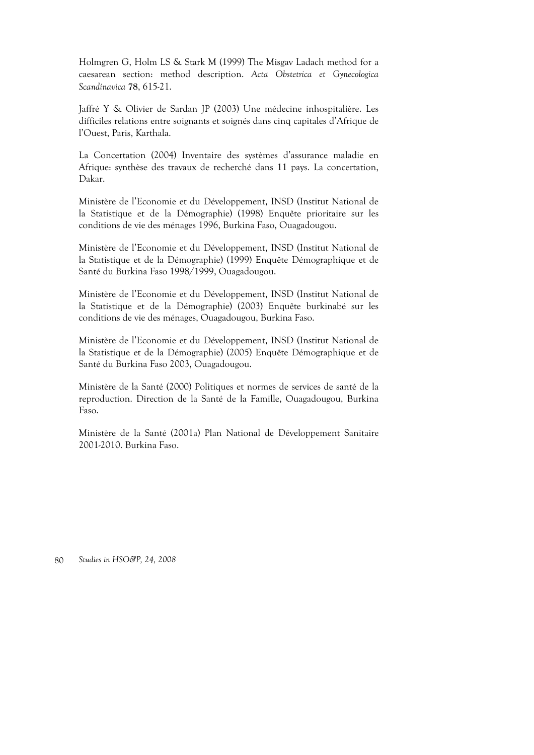Holmgren G, Holm LS & Stark M (1999) The Misgav Ladach method for a caesarean section: method description. *Acta Obstetrica et Gynecologica Scandinavica* **78**, 615-21.

Jaffré Y & Olivier de Sardan JP (2003) Une médecine inhospitalière. Les difficiles relations entre soignants et soignés dans cinq capitales d'Afrique de l'Ouest, Paris, Karthala.

La Concertation (2004) Inventaire des systèmes d'assurance maladie en Afrique: synthèse des travaux de recherché dans 11 pays. La concertation, Dakar.

Ministère de l'Economie et du Développement, INSD (Institut National de la Statistique et de la Démographie) (1998) Enquête prioritaire sur les conditions de vie des ménages 1996, Burkina Faso, Ouagadougou.

Ministère de l'Economie et du Développement, INSD (Institut National de la Statistique et de la Démographie) (1999) Enquête Démographique et de Santé du Burkina Faso 1998/1999, Ouagadougou.

Ministère de l'Economie et du Développement, INSD (Institut National de la Statistique et de la Démographie) (2003) Enquête burkinabé sur les conditions de vie des ménages, Ouagadougou, Burkina Faso.

Ministère de l'Economie et du Développement, INSD (Institut National de la Statistique et de la Démographie) (2005) Enquête Démographique et de Santé du Burkina Faso 2003, Ouagadougou.

Ministère de la Santé (2000) Politiques et normes de services de santé de la reproduction. Direction de la Santé de la Famille, Ouagadougou, Burkina Faso.

Ministère de la Santé (2001a) Plan National de Développement Sanitaire 2001-2010. Burkina Faso.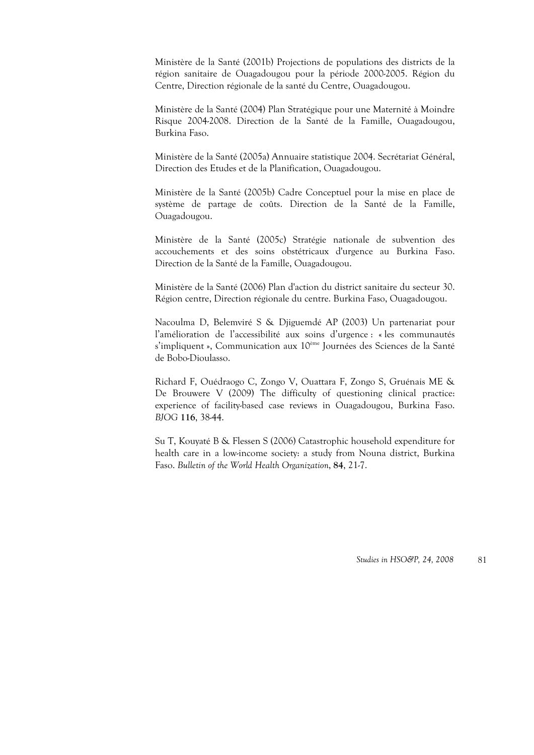Ministère de la Santé (2001b) Projections de populations des districts de la région sanitaire de Ouagadougou pour la période 2000-2005. Région du Centre, Direction régionale de la santé du Centre, Ouagadougou.

Ministère de la Santé (2004) Plan Stratégique pour une Maternité à Moindre Risque 2004-2008. Direction de la Santé de la Famille, Ouagadougou, Burkina Faso.

Ministère de la Santé (2005a) Annuaire statistique 2004. Secrétariat Général, Direction des Etudes et de la Planification, Ouagadougou.

Ministère de la Santé (2005b) Cadre Conceptuel pour la mise en place de système de partage de coûts. Direction de la Santé de la Famille, Ouagadougou.

Ministère de la Santé (2005c) Stratégie nationale de subvention des accouchements et des soins obstétricaux d'urgence au Burkina Faso. Direction de la Santé de la Famille, Ouagadougou.

Ministère de la Santé (2006) Plan d'action du district sanitaire du secteur 30. Région centre, Direction régionale du centre. Burkina Faso, Ouagadougou.

Nacoulma D, Belemviré S & Djiguemdé AP (2003) Un partenariat pour l'amélioration de l'accessibilité aux soins d'urgence : « les communautés s'impliquent », Communication aux 10ème Journées des Sciences de la Santé de Bobo-Dioulasso.

Richard F, Ouédraogo C, Zongo V, Ouattara F, Zongo S, Gruénais ME & De Brouwere V (2009) The difficulty of questioning clinical practice: experience of facility-based case reviews in Ouagadougou, Burkina Faso. *BJOG* **116**, 38-44.

Su T, Kouyaté B & Flessen S (2006) Catastrophic household expenditure for health care in a low-income society: a study from Nouna district, Burkina Faso. *Bulletin of the World Health Organization*, **84**, 21-7.